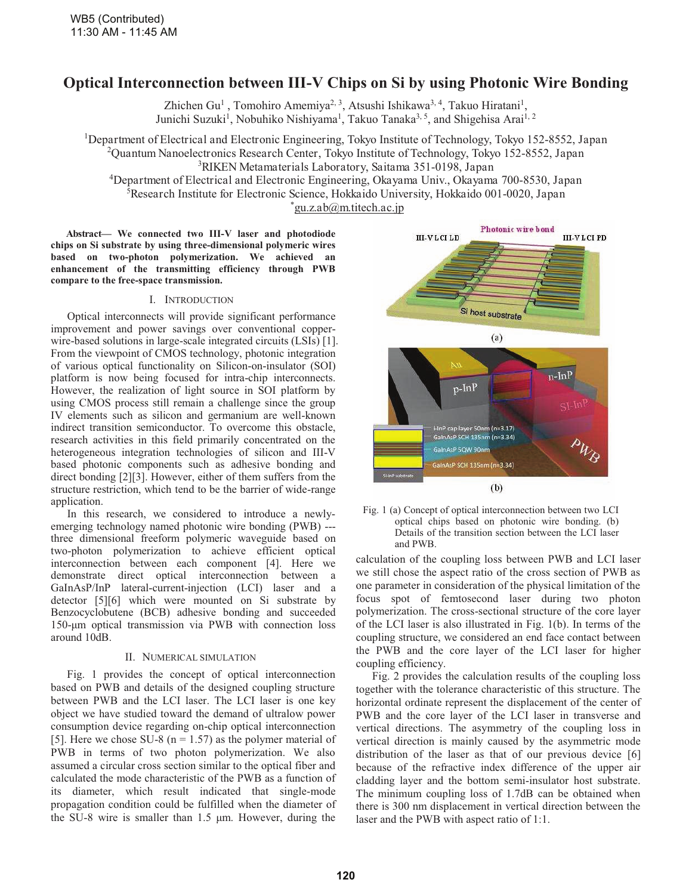# **Optical Interconnection between III-V Chips on Si by using Photonic Wire Bonding**

Zhichen Gu<sup>1</sup>, Tomohiro Amemiya<sup>2, 3</sup>, Atsushi Ishikawa<sup>3, 4</sup>, Takuo Hiratani<sup>1</sup>, Junichi Suzuki<sup>1</sup>, Nobuhiko Nishiyama<sup>1</sup>, Takuo Tanaka<sup>3, 5</sup>, and Shigehisa Arai<sup>1, 2</sup>

<sup>1</sup>Department of Electrical and Electronic Engineering, Tokyo Institute of Technology, Tokyo 152-8552, Japan <sup>2</sup>Quantum Nanoelectronics Research Center, Tokyo Institute of Technology, Tokyo 152-8552, Japan 3 RIKEN Metamaterials Laboratory, Saitama 351-0198, Japan

4 Department of Electrical and Electronic Engineering, Okayama Univ., Okayama 700-8530, Japan 5 Research Institute for Electronic Science, Hokkaido University, Hokkaido 001-0020, Japan \* gu.z.ab@m.titech.ac.jp

**Abstract² We connected two III-V laser and photodiode chips on Si substrate by using three-dimensional polymeric wires based on two-photon polymerization. We achieved an enhancement of the transmitting efficiency through PWB compare to the free-space transmission.** 

## I. INTRODUCTION

Optical interconnects will provide significant performance improvement and power savings over conventional copperwire-based solutions in large-scale integrated circuits (LSIs) [1]. From the viewpoint of CMOS technology, photonic integration of various optical functionality on Silicon-on-insulator (SOI) platform is now being focused for intra-chip interconnects. However, the realization of light source in SOI platform by using CMOS process still remain a challenge since the group IV elements such as silicon and germanium are well-known indirect transition semiconductor. To overcome this obstacle, research activities in this field primarily concentrated on the heterogeneous integration technologies of silicon and III-V based photonic components such as adhesive bonding and direct bonding [2][3]. However, either of them suffers from the structure restriction, which tend to be the barrier of wide-range application.

In this research, we considered to introduce a newlyemerging technology named photonic wire bonding (PWB) -- three dimensional freeform polymeric waveguide based on two-photon polymerization to achieve efficient optical interconnection between each component [4]. Here we demonstrate direct optical interconnection between a GaInAsP/InP lateral-current-injection (LCI) laser and a detector [5][6] which were mounted on Si substrate by Benzocyclobutene (BCB) adhesive bonding and succeeded 150-μm optical transmission via PWB with connection loss around 10dB.

# II. NUMERICAL SIMULATION

Fig. 1 provides the concept of optical interconnection based on PWB and details of the designed coupling structure between PWB and the LCI laser. The LCI laser is one key object we have studied toward the demand of ultralow power consumption device regarding on-chip optical interconnection [5]. Here we chose SU-8 ( $n = 1.57$ ) as the polymer material of PWB in terms of two photon polymerization. We also assumed a circular cross section similar to the optical fiber and calculated the mode characteristic of the PWB as a function of its diameter, which result indicated that single-mode propagation condition could be fulfilled when the diameter of the SU-8 wire is smaller than  $1.5 \mu m$ . However, during the





calculation of the coupling loss between PWB and LCI laser we still chose the aspect ratio of the cross section of PWB as one parameter in consideration of the physical limitation of the focus spot of femtosecond laser during two photon polymerization. The cross-sectional structure of the core layer of the LCI laser is also illustrated in Fig. 1(b). In terms of the coupling structure, we considered an end face contact between the PWB and the core layer of the LCI laser for higher coupling efficiency.

Fig. 2 provides the calculation results of the coupling loss together with the tolerance characteristic of this structure. The horizontal ordinate represent the displacement of the center of PWB and the core layer of the LCI laser in transverse and vertical directions. The asymmetry of the coupling loss in vertical direction is mainly caused by the asymmetric mode distribution of the laser as that of our previous device [6] because of the refractive index difference of the upper air cladding layer and the bottom semi-insulator host substrate. The minimum coupling loss of 1.7dB can be obtained when there is 300 nm displacement in vertical direction between the laser and the PWB with aspect ratio of 1:1.